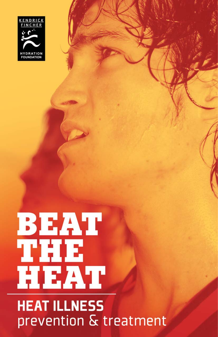

# **BEAT**<br>THE<br>HEAT

# **HEAT ILLNESS** prevention & treatment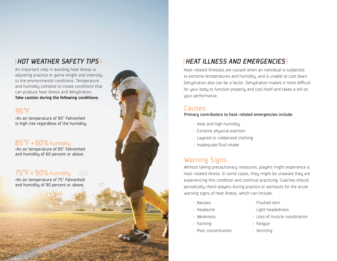### *HOT WEATHER SAFETY TIPS*

An important step in avoiding heat illness is adjusting practice or game length and intensity to the environmental conditions. Temperature and humidity combine to create conditions that can produce heat illness and dehydration. Take caution during the following conditions:

### 95°F

is high risk regardless of the humidity.

### $\mathsf{85^{\circ}F}$  +  $\mathsf{60\%}$  humidity

•An air temperature of 85° Fahrenheit and humidity of 60 percent or above.

### $75\degree$ F +  $90\%$  humidity 手手

•An air temperature of 75° Fahrenheit and humidity of 90 percent or above.



### *HEAT ILLNESS AND EMERGENCIES*

Heat-related illnesses are caused when an individual is subjected to extreme temperatures and humidity, and is unable to cool down. Dehydration also can be a factor. Dehydration makes it more difficult for your body to function properly and cool itself and takes a toll on your performance.

### Causes

Primary contributors to heat-related emergencies include: •An air temperature of 95° Fahrenheit

- Heat and high humidity
- Extreme physical exertion
- Layered or rubberized clothing
- Inadequate fluid intake

### Warning Signs

Without taking precautionary measures, players might experience a heat-related illness. In some cases, they might be unaware they are experiencing this condition and continue practicing. Coaches should periodically check players during practice or workouts for the acute warning signs of heat illness, which can include:

- Nausea
- Headache
- Weakness
- Fainting
- Poor concentration
- Flushed skin
- Light headedness
- Loss of muscle coordination
- Fatigue
- Vomiting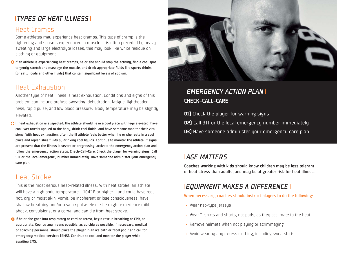### *TYPES OF HEAT ILLNESS*

### Heat Cramps

Some athletes may experience heat cramps. This type of cramp is the tightening and spasms experienced in muscle. It is often preceded by heavy sweating and large electrolyte losses, this may look like white residue on clothing or equipment.

 $\bullet$  If an athlete is experiencing heat cramps, he or she should stop the activity, find a cool spot to gently stretch and massage the muscle, and drink appropriate fluids like sports drinks (or salty foods and other fluids) that contain significant levels of sodium.

### Heat Exhaustion

Another type of heat illness is heat exhaustion. Conditions and signs of this problem can include profuse sweating, dehydration, fatigue, lightheadedness, rapid pulse, and low blood pressure. Body temperature may be slightly elevated.

If heat exhaustion is suspected, the athlete should lie in a cool place with legs elevated, have cool, wet towels applied to the body, drink cool fluids, and have someone monitor their vital signs. With heat exhaustion, often the ill athlete feels better when he or she rests in a cool place and replenishes fluids by drinking cool liquids. Continue to monitor the athlete. If signs are present that the illness is severe or progressing, activate the emergency action plan and follow the emergency action steps, Check-Call-Care. Check the player for warning signs. Call 911 or the local emergency number immediately. Have someone administer your emergency care plan.

### Heat Stroke

This is the most serious heat-related illness. With heat stroke, an athlete will have a high body temperature -  $104^{\circ}$  F or higher - and could have red, hot, dry or moist skin, vomit, be incoherent or lose consciousness, have shallow breathing and/or a weak pulse. He or she might experience mild shock, convulsions, or a coma, and can die from heat stroke.

 $\bigodot$  If he or she goes into respiratory or cardiac arrest, begin rescue breathing or CPR, as appropriate. Cool by any means possible, as quickly as possible. If necessary, medical or coaching personnel should place the player in an ice bath or "cool pool" and call for emergency medical services (EMS). Continue to cool and monitor the player while awaiting EMS.



### CHECK-CALL-CARE*EMERGENCY ACTION PLAN*

**01)** Check the player for warning signs 02) Call 911 or the local emergency number immediately 03) Have someone administer your emergency care plan

### *AGE MATTERS*

Coaches working with kids should know children may be less tolerant of heat stress than adults, and may be at greater risk for heat illness.

### *EQUIPMENT MAKES A DIFFERENCE*

When necessary, coaches should instruct players to do the following:

- Wear net-type jerseys
- Wear T-shirts and shorts, not pads, as they acclimate to the heat
- Remove helmets when not playing or scrimmaging
- Avoid wearing any excess clothing, including sweatshirts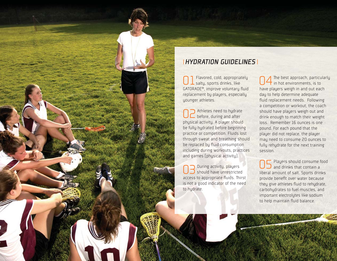

### *HYDRATION GUIDELINES*

 Flavored, cold, appropriately salty, sports drinks, like GATORADE®, improve voluntary fluid replacement by players, especially younger athletes. 01

 Athletes need to hydrate before, during and after physical activity. A player should be fully hydrated before beginning practice or competition. Fluids lost through sweat and breathing should be replaced by fluid consumption including during workouts, practices and games (physical activity). 02

 During activity, players  $\mathbb G$   $\mathbb S$  buring activity, players<br> $\mathbb G$  should have unrestricted access to appropriate fluids. Thirst is not a good indicator of the need to hydrate.

The best approach, particularly  $\dagger$  in hot environments, is to have players weigh in and out each day to help determine adequate fluid replacement needs. Following a competition or workout, the coach should have players weigh out and drink enough to match their weight loss. Remember 16 ounces is one pound. For each pound that the player did not replace, the player may need to consume 20 ounces to fully rehydrate for the next training session.04

Players should consume food  $\mathsf{05}$  Players should consume f<br> $\mathsf{05}$  and drinks that contain a liberal amount of salt. Sports drinks provide benefit over water because they give athletes fluid to rehydrate, carbohydrates to fuel muscles, and important electrolytes like sodium to help maintain fluid balance.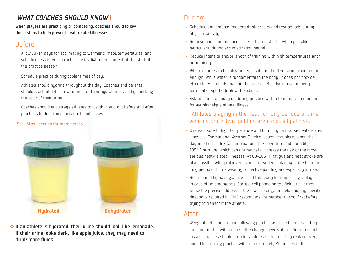# *WHAT COACHES SHOULD KNOW*

When players are practicing or competing, coaches should follow these steps to help prevent heat-related illnesses:

### **Before**

- Allow 10-14 days for acclimating to warmer climate/temperatures, and schedule less intense practices using lighter equipment at the start of the practice season.
- Schedule practice during cooler times of day.
- Athletes should hydrate throughout the day. Coaches and parents should teach athletes how to monitor their hydration levels by checking the color of their urine.
- Coaches should encourage athletes to weigh in and out before and after practices to determine individual fluid losses.

### (See "After" section for more details.)



**O** If an athlete is hydrated, their urine should look like lemonade. If their urine looks dark, like apple juice, they may need to drink more fluids.

# During

- Schedule and enforce frequent drink breaks and rest periods during physical activity.
- Remove pads and practice in T-shirts and shorts, when possible, particularly during acclimatization period.
- Reduce intensity and/or length of training with high temperatures and/ or humidity.
- When it comes to keeping athletes safe on the field, water may not be enough. While water is fundamental to the body, it does not provide electrolytes and this may not hydrate as effectively as a properly formulated sports drink with sodium.
- Ask athletes to buddy up during practice with a teammate to monitor for warning signs of heat illness.

### "Athletes playing in the heat for long periods of time wearing protective padding are especially at risk."

- Overexposure to high temperature and humidity can cause heat-related illnesses. The National Weather Service issues heat alerts when the daytime heat index (a combination of temperature and humidity) is 105° F or more, which can dramatically increase the risk of the most serious heat-related illnesses. At 80-105° F, fatigue and heat stroke are also possible with prolonged exposure. Athletes playing in the heat for long periods of time wearing protective padding are especially at risk.
- Be prepared by having an ice-filled tub ready for immersing a player in case of an emergency. Carry a cell phone on the field at all times. Know the precise address of the practice or game field and any specific directions required by EMS responders. Remember to cool first before trying to transport the athlete.

### After

• Weigh athletes before and following practice as close to nude as they are comfortable with and use the change in weight to determine fluid losses. Coaches should monitor athletes to ensure they replace every pound lost during practice with approximately 20 ounces of fluid.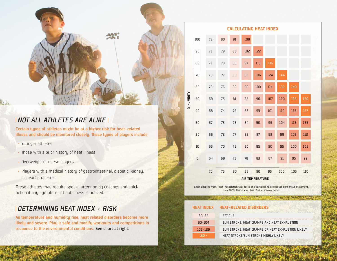### *NOT ALL ATHLETES ARE ALIKE*

Certain types of athletes might be at a higher risk for heat-related illness and should be monitored closely. These types of players include:

- Younger athletes
- Those with a prior history of heat illness
- Overweight or obese players
- Players with a medical history of gastrointestinal, diabetic, kidney, or heart problems.

These athletes may require special attention by coaches and quick action if any symptom of heat illness is noticed.

### *DETERMINING HEAT INDEX + RISK*

As temperature and humidity rise, heat related disorders become more likely and severe. Play it safe and modify workouts and competitions in response to the environmental conditions. See chart at right.

| <b>CALCULATING HEAT INDEX</b> |     |    |    |    |     |     |     |     |     |     |
|-------------------------------|-----|----|----|----|-----|-----|-----|-----|-----|-----|
|                               | 100 | 72 | 80 | 91 | 108 |     |     |     |     |     |
| % HUMIDITY                    | 90  | 71 | 79 | 88 | 102 | 155 |     |     |     |     |
|                               | 80  | 71 | 78 | 86 | 97  | 113 | 136 |     |     |     |
|                               | 70  | 70 | 77 | 85 | 93  | 106 | 124 | 144 |     |     |
|                               | 60  | 70 | 76 | 82 | 90  | 100 | 114 | 132 | 149 |     |
|                               | 50  | 69 | 75 | 81 | 88  | 96  | 107 | 120 | 135 | 150 |
|                               | 40  | 68 | 74 | 79 | 86  | 93  | 101 | 110 | 123 | 137 |
|                               | 30  | 67 | 73 | 78 | 84  | 90  | 96  | 104 | 113 | 123 |
|                               | 20  | 66 | 72 | 77 | 82  | 87  | 93  | 99  | 105 | 112 |
|                               | 10  | 65 | 70 | 75 | 80  | 85  | 90  | 95  | 100 | 105 |
|                               | 0   | 64 | 69 | 73 | 78  | 83  | 87  | 91  | 95  | 99  |
|                               |     | 70 | 75 | 80 | 85  | 90  | 95  | 100 | 105 | 110 |
| <b>AIR TEMPERATURE</b>        |     |    |    |    |     |     |     |     |     |     |

Chart adapted from: Inter-Association task force on exertional heat illnesses consensus statement. June 2003, National Athletic Trainers' Association.

| <b>HEAT INDEX</b> | <b>HEAT-RELATED DISORDERS</b>                     |
|-------------------|---------------------------------------------------|
| $80 - 89$         | <b>FATIGUE</b>                                    |
| $90 - 104$        | SUN STROKE, HEAT CRAMPS AND HEAT EXHAUSTION       |
| $105 - 129$       | SUN STROKE, HEAT CRAMPS OR HEAT EXHAUSTION LIKELY |
| + חבו             | HEAT STROKE/SUN STROKE HIGHLY LIKELY              |